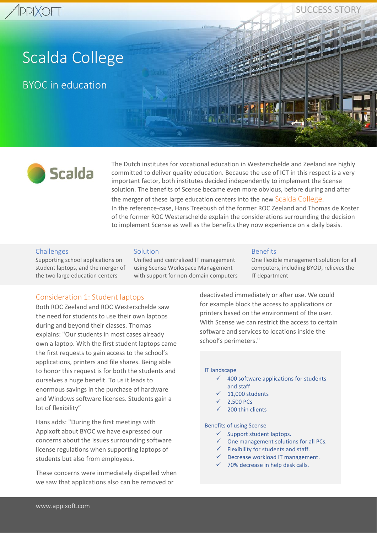SUCCESS STORY

# Scalda College

BYOC in education



The Dutch institutes for vocational education in Westerschelde and Zeeland are highly committed to deliver quality education. Because the use of ICT in this respect is a very important factor, both institutes decided independently to implement the Scense solution. The benefits of Scense became even more obvious, before during and after the merger of these large education centers into the new Scalda College. In the reference-case, Hans Treebush of the former ROC Zeeland and Thomas de Koster of the former ROC Westerschelde explain the considerations surrounding the decision to implement Scense as well as the benefits they now experience on a daily basis.

## Challenges

Supporting school applications on student laptops, and the merger of the two large education centers

#### **Solution**

Unified and centralized IT management using Scense Workspace Management with support for non-domain computers

#### Benefits

One flexible management solution for all computers, including BYOD, relieves the IT department

# Consideration 1: Student laptops

Both ROC Zeeland and ROC Westerschelde saw the need for students to use their own laptops during and beyond their classes. Thomas explains: "Our students in most cases already own a laptop. With the first student laptops came the first requests to gain access to the school's applications, printers and file shares. Being able to honor this request is for both the students and ourselves a huge benefit. To us it leads to enormous savings in the purchase of hardware and Windows software licenses. Students gain a lot of flexibility"

Hans adds: "During the first meetings with Appixoft about BYOC we have expressed our concerns about the issues surrounding software license regulations when supporting laptops of students but also from employees.

These concerns were immediately dispelled when we saw that applications also can be removed or

deactivated immediately or after use. We could for example block the access to applications or printers based on the environment of the user. With Scense we can restrict the access to certain software and services to locations inside the school's perimeters."

#### IT landscape

- $\checkmark$  400 software applications for students and staff
- 11,000 students
- 2,500 PCs
- 200 thin clients

Benefits of using Scense

- ✓ Support student laptops.
- ✓ One management solutions for all PCs.
- $\checkmark$  Flexibility for students and staff.
- Decrease workload IT management.
- ✓ 70% decrease in help desk calls.